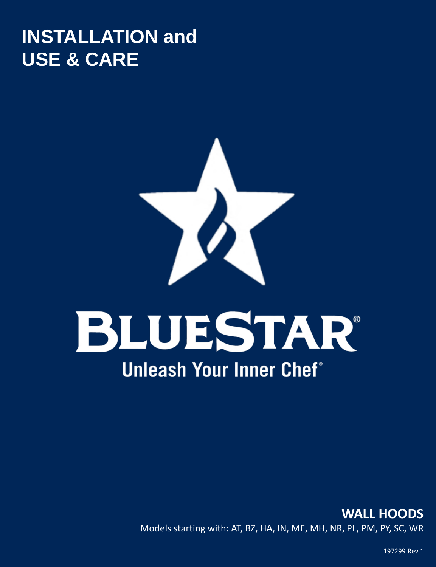# **INSTALLATION and USE & CARE**



# BLUESTAR® **Unleash Your Inner Chef<sup>®</sup>**

# **WALL HOODS**  Models starting with: AT, BZ, HA, IN, ME, MH, NR, PL, PM, PY, SC, WR

197299 Rev 1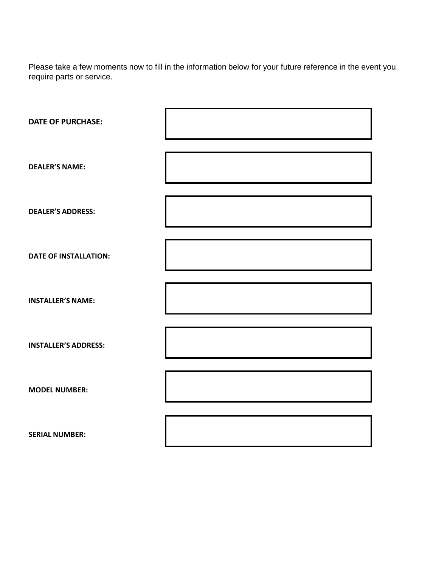Please take a few moments now to fill in the information below for your future reference in the event you require parts or service.

| <b>DATE OF PURCHASE:</b>     |  |
|------------------------------|--|
| <b>DEALER'S NAME:</b>        |  |
| <b>DEALER'S ADDRESS:</b>     |  |
| <b>DATE OF INSTALLATION:</b> |  |
| <b>INSTALLER'S NAME:</b>     |  |
| <b>INSTALLER'S ADDRESS:</b>  |  |
| <b>MODEL NUMBER:</b>         |  |
| <b>SERIAL NUMBER:</b>        |  |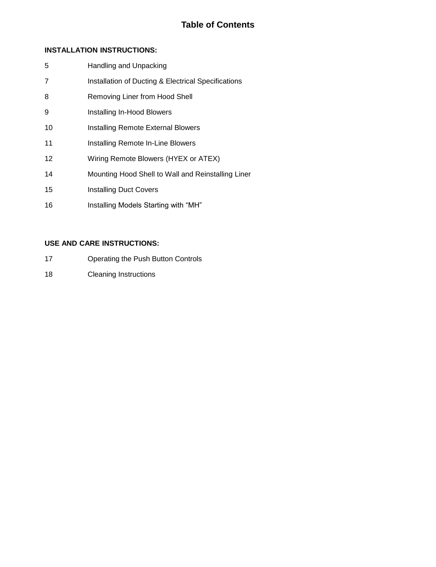| 5              | Handling and Unpacking                              |
|----------------|-----------------------------------------------------|
| $\overline{7}$ | Installation of Ducting & Electrical Specifications |
| 8              | Removing Liner from Hood Shell                      |
| 9              | Installing In-Hood Blowers                          |
| 10             | <b>Installing Remote External Blowers</b>           |
| 11             | Installing Remote In-Line Blowers                   |
| $12 \,$        | Wiring Remote Blowers (HYEX or ATEX)                |
| 14             | Mounting Hood Shell to Wall and Reinstalling Liner  |
| 15             | <b>Installing Duct Covers</b>                       |
| 16             | Installing Models Starting with "MH"                |

# **USE AND CARE INSTRUCTIONS:**

- Operating the Push Button Controls
- Cleaning Instructions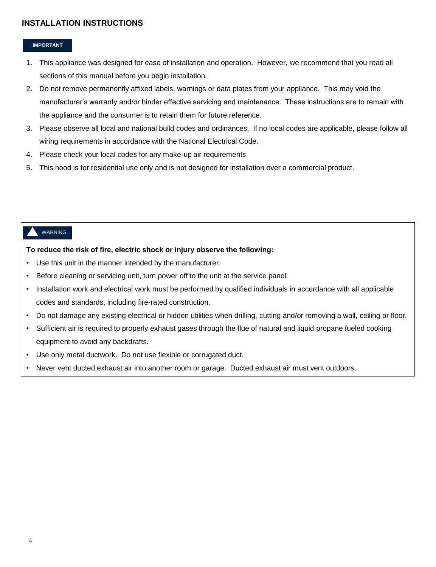#### **IMPORTANT**

- 1. This appliance was designed for ease of installation and operation. However, we recommend that you read all sections of this manual before you begin installation.
- 2. Do not remove permanently affixed labels, warnings or data plates from your appliance. This may void the manufacturer's warranty and/or hinder effective servicing and maintenance. These instructions are to remain with the appliance and the consumer is to retain them for future reference.
- 3. Please observe all local and national build codes and ordinances. If no local codes are applicable, please follow all wiring requirements in accordance with the National Electrical Code.
- 4. Please check your local codes for any make-up air requirements.
- 5. This hood is for residential use only and is not designed for installation over a commercial product.

#### WARNING

#### **To reduce the risk of fire, electric shock or injury observe the following:**

- Use this unit in the manner intended by the manufacturer.
- Before cleaning or servicing unit, turn power off to the unit at the service panel.
- Installation work and electrical work must be performed by qualified individuals in accordance with all applicable codes and standards, including fire-rated construction.
- Do not damage any existing electrical or hidden utilities when drilling, cutting and/or removing a wall, ceiling or floor.
- Sufficient air is required to properly exhaust gases through the flue of natural and liquid propane fueled cooking equipment to avoid any backdrafts.
- Use only metal ductwork. Do not use flexible or corrugated duct.
- Never vent ducted exhaust air into another room or garage. Ducted exhaust air must vent outdoors.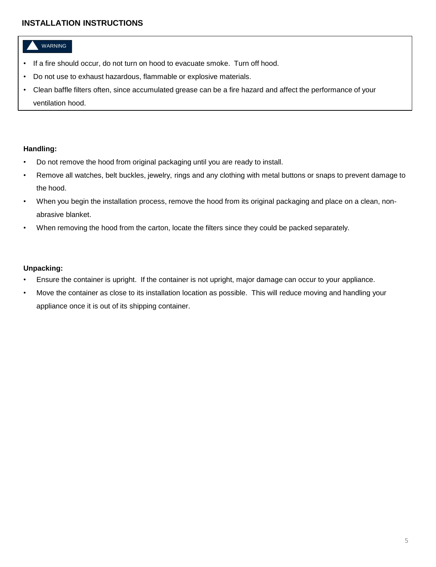# WARNING

- If a fire should occur, do not turn on hood to evacuate smoke. Turn off hood.
- Do not use to exhaust hazardous, flammable or explosive materials.
- Clean baffle filters often, since accumulated grease can be a fire hazard and affect the performance of your ventilation hood.

#### **Handling:**

- Do not remove the hood from original packaging until you are ready to install.
- Remove all watches, belt buckles, jewelry, rings and any clothing with metal buttons or snaps to prevent damage to the hood.
- When you begin the installation process, remove the hood from its original packaging and place on a clean, nonabrasive blanket.
- When removing the hood from the carton, locate the filters since they could be packed separately.

#### **Unpacking:**

- Ensure the container is upright. If the container is not upright, major damage can occur to your appliance.
- Move the container as close to its installation location as possible. This will reduce moving and handling your appliance once it is out of its shipping container.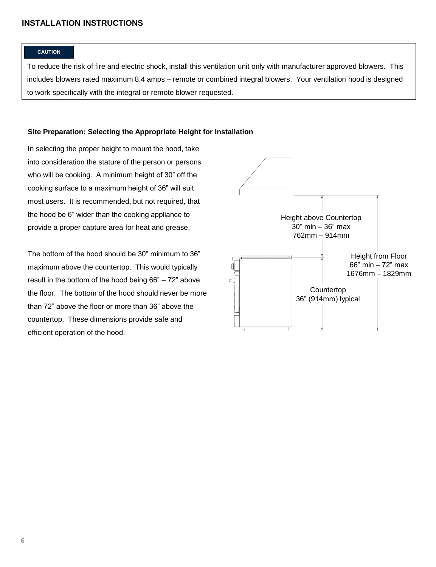#### **CAUTION**

To reduce the risk of fire and electric shock, install this ventilation unit only with manufacturer approved blowers. This includes blowers rated maximum 8.4 amps – remote or combined integral blowers. Your ventilation hood is designed to work specifically with the integral or remote blower requested.

#### **Site Preparation: Selecting the Appropriate Height for Installation**

In selecting the proper height to mount the hood, take into consideration the stature of the person or persons who will be cooking. A minimum height of 30" off the cooking surface to a maximum height of 36" will suit most users. It is recommended, but not required, that the hood be 6" wider than the cooking appliance to provide a proper capture area for heat and grease.

The bottom of the hood should be 30" minimum to 36" maximum above the countertop. This would typically result in the bottom of the hood being 66" – 72" above the floor. The bottom of the hood should never be more than 72" above the floor or more than 36" above the countertop. These dimensions provide safe and efficient operation of the hood.

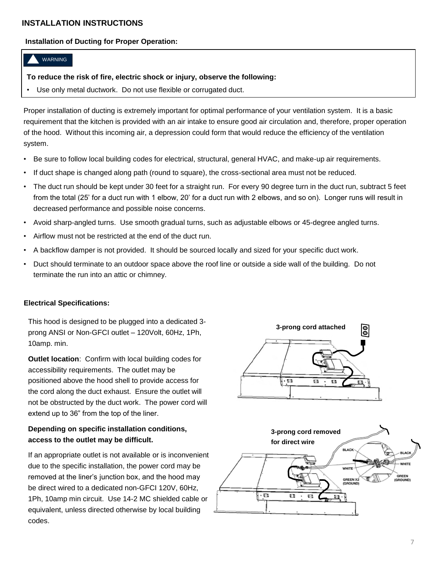# **Installation of Ducting for Proper Operation:**

# WARNING

#### **To reduce the risk of fire, electric shock or injury, observe the following:**

Use only metal ductwork. Do not use flexible or corrugated duct.

Proper installation of ducting is extremely important for optimal performance of your ventilation system. It is a basic requirement that the kitchen is provided with an air intake to ensure good air circulation and, therefore, proper operation of the hood. Without this incoming air, a depression could form that would reduce the efficiency of the ventilation system.

- Be sure to follow local building codes for electrical, structural, general HVAC, and make-up air requirements.
- If duct shape is changed along path (round to square), the cross-sectional area must not be reduced.
- The duct run should be kept under 30 feet for a straight run. For every 90 degree turn in the duct run, subtract 5 feet from the total (25' for a duct run with 1 elbow, 20' for a duct run with 2 elbows, and so on). Longer runs will result in decreased performance and possible noise concerns.
- Avoid sharp-angled turns. Use smooth gradual turns, such as adjustable elbows or 45-degree angled turns.
- Airflow must not be restricted at the end of the duct run.
- A backflow damper is not provided. It should be sourced locally and sized for your specific duct work.
- Duct should terminate to an outdoor space above the roof line or outside a side wall of the building. Do not terminate the run into an attic or chimney.

# **Electrical Specifications:**

This hood is designed to be plugged into a dedicated 3 prong ANSI or Non-GFCI outlet – 120Volt, 60Hz, 1Ph, 10amp. min.

**Outlet location**: Confirm with local building codes for accessibility requirements. The outlet may be positioned above the hood shell to provide access for the cord along the duct exhaust. Ensure the outlet will not be obstructed by the duct work. The power cord will extend up to 36" from the top of the liner.

# **Depending on specific installation conditions, access to the outlet may be difficult.**

If an appropriate outlet is not available or is inconvenient due to the specific installation, the power cord may be removed at the liner's junction box, and the hood may be direct wired to a dedicated non-GFCI 120V, 60Hz, 1Ph, 10amp min circuit. Use 14-2 MC shielded cable or equivalent, unless directed otherwise by local building codes.



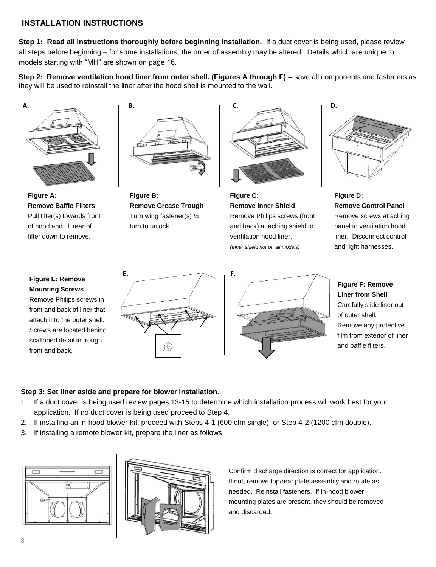**Step 1: Read all instructions thoroughly before beginning installation.** If a duct cover is being used, please review all steps before beginning – for some installations, the order of assembly may be altered. Details which are unique to models starting with "MH" are shown on page 16.

**Step 2: Remove ventilation hood liner from outer shell. (Figures A through F) – save all components and fasteners as** they will be used to reinstall the liner after the hood shell is mounted to the wall.



**Figure A: Remove Baffle Filters** Pull filter(s) towards front of hood and tilt rear of filter down to remove.



**Figure B: Remove Grease Trough** Turn wing fastener(s) ¼ turn to unlock.



**Figure C: Remove Inner Shield** Remove Philips screws (front and back) attaching shield to ventilation hood liner. *(Inner shield not on all models)*



**Figure D: Remove Control Panel** Remove screws attaching panel to ventilation hood liner. Disconnect control and light harnesses.

# **Figure E: Remove Mounting Screws**

Remove Philips screws in front and back of liner that attach it to the outer shell. Screws are located behind scalloped detail in trough front and back.



**Liner from Shell** Carefully slide liner out of outer shell. Remove any protective film from exterior of liner and baffle filters.

**Figure F: Remove** 

# **Step 3: Set liner aside and prepare for blower installation.**

- 1. If a duct cover is being used review pages 13-15 to determine which installation process will work best for your application. If no duct cover is being used proceed to Step 4.
- 2. If installing an in-hood blower kit, proceed with Steps 4-1 (600 cfm single), or Step 4-2 (1200 cfm double).
- 3. If installing a remote blower kit, prepare the liner as follows:





Confirm discharge direction is correct for application. If not, remove top/rear plate assembly and rotate as needed. Reinstall fasteners. If in-hood blower mounting plates are present, they should be removed and discarded.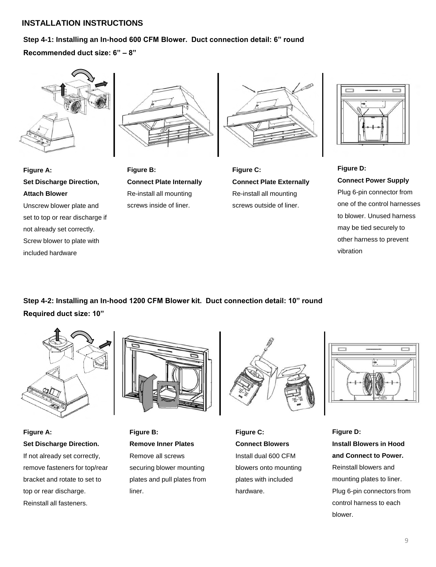# **Step 4-1: Installing an In-hood 600 CFM Blower. Duct connection detail: 6" round**

**Recommended duct size: 6" – 8"** 



**Set Discharge Direction,** 

Unscrew blower plate and set to top or rear discharge if not already set correctly. Screw blower to plate with

**Figure A:**

**Attach Blower**

included hardware



**Connect Plate Internally** Re-install all mounting screws inside of liner.

**Figure B:**



**Figure C: Connect Plate Externally** Re-install all mounting screws outside of liner.



**Figure D: Connect Power Supply** Plug 6-pin connector from one of the control harnesses to blower. Unused harness may be tied securely to other harness to prevent vibration

**Step 4-2: Installing an In-hood 1200 CFM Blower kit. Duct connection detail: 10" round Required duct size: 10"**



**Figure A: Set Discharge Direction.** If not already set correctly, remove fasteners for top/rear bracket and rotate to set to top or rear discharge. Reinstall all fasteners.



**Figure B: Remove Inner Plates** Remove all screws securing blower mounting plates and pull plates from liner.



**Figure C: Connect Blowers** Install dual 600 CFM blowers onto mounting plates with included hardware.



**Figure D: Install Blowers in Hood and Connect to Power.** Reinstall blowers and mounting plates to liner. Plug 6-pin connectors from control harness to each blower.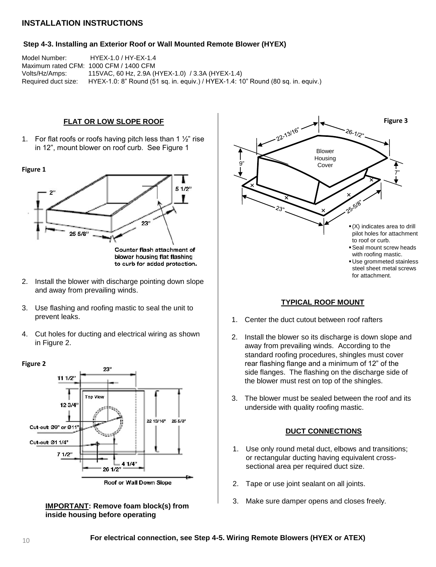#### **Step 4-3. Installing an Exterior Roof or Wall Mounted Remote Blower (HYEX)**

Model Number: HYEX-1.0 / HY-EX-1.4 Maximum rated CFM: 1000 CFM / 1400 CFM Volts/Hz/Amps: 115VAC, 60 Hz, 2.9A (HYEX-1.0) / 3.3A (HYEX-1.4) Required duct size: HYEX-1.0: 8" Round (51 sq. in. equiv.) / HYEX-1.4: 10" Round (80 sq. in. equiv.)

#### **FLAT OR LOW SLOPE ROOF**

1. For flat roofs or roofs having pitch less than 1  $\frac{1}{2}$ " rise in 12", mount blower on roof curb. See Figure 1



- 2. Install the blower with discharge pointing down slope and away from prevailing winds.
- 3. Use flashing and roofing mastic to seal the unit to prevent leaks.
- 4. Cut holes for ducting and electrical wiring as shown in Figure 2.









#### **TYPICAL ROOF MOUNT**

- 1. Center the duct cutout between roof rafters
- 2. Install the blower so its discharge is down slope and away from prevailing winds. According to the standard roofing procedures, shingles must cover rear flashing flange and a minimum of 12" of the side flanges. The flashing on the discharge side of the blower must rest on top of the shingles.
- 3. The blower must be sealed between the roof and its underside with quality roofing mastic.

# **DUCT CONNECTIONS**

- 1. Use only round metal duct, elbows and transitions; or rectangular ducting having equivalent crosssectional area per required duct size.
- 2. Tape or use joint sealant on all joints.
- 3. Make sure damper opens and closes freely.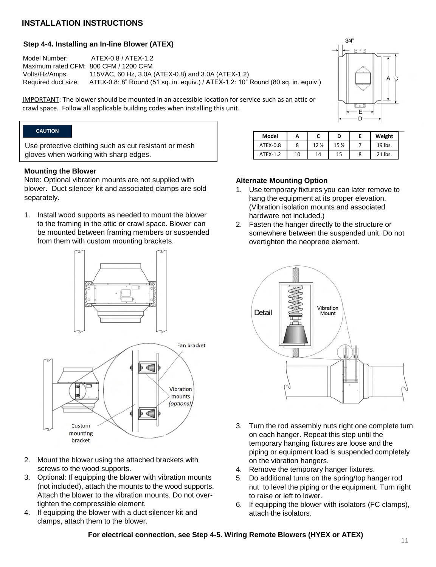# **Step 4-4. Installing an In-line Blower (ATEX)**

Model Number: ATEX-0.8 / ATEX-1.2 Maximum rated CFM: 800 CFM / 1200 CFM Volts/Hz/Amps: 115VAC, 60 Hz, 3.0A (ATEX-0.8) and 3.0A (ATEX-1.2) Required duct size: ATEX-0.8: 8" Round (51 sq. in. equiv.) / ATEX-1.2: 10" Round (80 sq. in. equiv.)

IMPORTANT: The blower should be mounted in an accessible location for service such as an attic or crawl space. Follow all applicable building codes when installing this unit.

# **CAUTION**

Use protective clothing such as cut resistant or mesh gloves when working with sharp edges.

#### **Mounting the Blower**

Note: Optional vibration mounts are not supplied with blower. Duct silencer kit and associated clamps are sold separately.

1. Install wood supports as needed to mount the blower to the framing in the attic or crawl space. Blower can be mounted between framing members or suspended from them with custom mounting brackets.



- 2. Mount the blower using the attached brackets with screws to the wood supports.
- 3. Optional: If equipping the blower with vibration mounts (not included), attach the mounts to the wood supports. Attach the blower to the vibration mounts. Do not overtighten the compressible element.
- 4. If equipping the blower with a duct silencer kit and clamps, attach them to the blower.

| Model    | Α  |                 | D    | Weight  |
|----------|----|-----------------|------|---------|
| ATEX-0.8 | 8  | 12 <sub>2</sub> | 15 % | 19 lbs. |
| ATFX-1.2 | 10 | 14              |      | 21 lbs. |

 $3/4"$ 

E

# **Alternate Mounting Option**

- 1. Use temporary fixtures you can later remove to hang the equipment at its proper elevation. (Vibration isolation mounts and associated hardware not included.)
- 2. Fasten the hanger directly to the structure or somewhere between the suspended unit. Do not overtighten the neoprene element.



- 3. Turn the rod assembly nuts right one complete turn on each hanger. Repeat this step until the temporary hanging fixtures are loose and the piping or equipment load is suspended completely on the vibration hangers.
- 4. Remove the temporary hanger fixtures.
- 5. Do additional turns on the spring/top hanger rod nut to level the piping or the equipment. Turn right to raise or left to lower.
- 6. If equipping the blower with isolators (FC clamps), attach the isolators.

**For electrical connection, see Step 4-5. Wiring Remote Blowers (HYEX or ATEX)**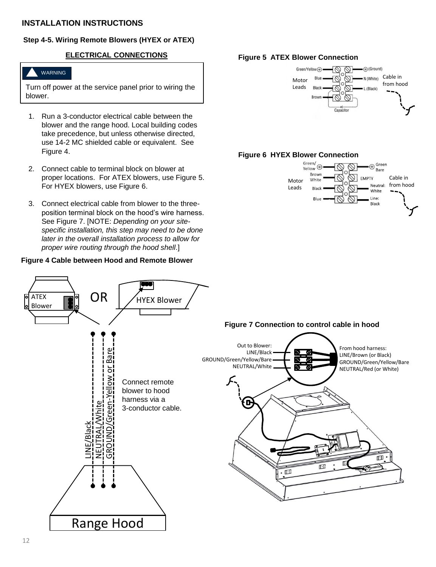# **Step 4-5. Wiring Remote Blowers (HYEX or ATEX)**

# **ELECTRICAL CONNECTIONS**

# WARNING

Turn off power at the service panel prior to wiring the blower.

- 1. Run a 3-conductor electrical cable between the blower and the range hood. Local building codes take precedence, but unless otherwise directed, use 14-2 MC shielded cable or equivalent. See Figure 4.
- 2. Connect cable to terminal block on blower at proper locations. For ATEX blowers, use Figure 5. For HYEX blowers, use Figure 6.
- 3. Connect electrical cable from blower to the threeposition terminal block on the hood's wire harness. See Figure 7. [NOTE: *Depending on your sitespecific installation, this step may need to be done later in the overall installation process to allow for proper wire routing through the hood shell*.]

#### **Figure 4 Cable between Hood and Remote Blower**









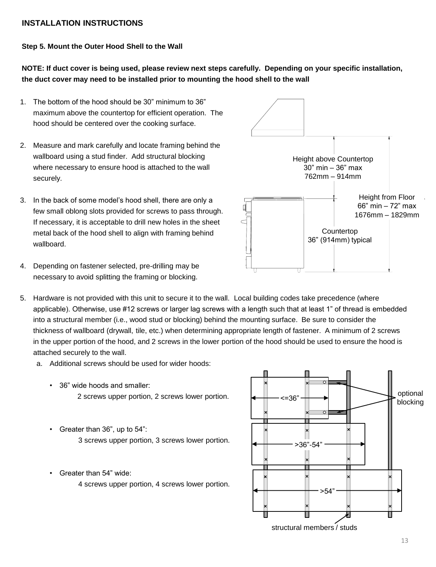# **Step 5. Mount the Outer Hood Shell to the Wall**

**NOTE: If duct cover is being used, please review next steps carefully. Depending on your specific installation, the duct cover may need to be installed prior to mounting the hood shell to the wall**

- 1. The bottom of the hood should be 30" minimum to 36" maximum above the countertop for efficient operation. The hood should be centered over the cooking surface.
- 2. Measure and mark carefully and locate framing behind the wallboard using a stud finder. Add structural blocking where necessary to ensure hood is attached to the wall securely.
- 3. In the back of some model's hood shell, there are only a few small oblong slots provided for screws to pass through. If necessary, it is acceptable to drill new holes in the sheet metal back of the hood shell to align with framing behind wallboard.
- **Height from Floor** 66" min – 72" max 1676mm - 1829mm **COUNTERTOP** 36" (914mm) typical **HEIGHT ABOVE COUNTERTOP** Height above Countertop **30"(MIN)-36"(MAX)** 30" min – 36" max 762mm – 914mm **Countertop**
- 4. Depending on fastener selected, pre-drilling may be necessary to avoid splitting the framing or blocking.
- 5. Hardware is not provided with this unit to secure it to the wall. Local building codes take precedence (where applicable). Otherwise, use #12 screws or larger lag screws with a length such that at least 1" of thread is embedded into a structural member (i.e., wood stud or blocking) behind the mounting surface. Be sure to consider the thickness of wallboard (drywall, tile, etc.) when determining appropriate length of fastener. A minimum of 2 screws in the upper portion of the hood, and 2 screws in the lower portion of the hood should be used to ensure the hood is attached securely to the wall.
	- a. Additional screws should be used for wider hoods:
		- 36" wide hoods and smaller: 2 screws upper portion, 2 screws lower portion.
		- Greater than 36", up to 54": 3 screws upper portion, 3 screws lower portion.
		- Greater than 54" wide:
			- 4 screws upper portion, 4 screws lower portion.

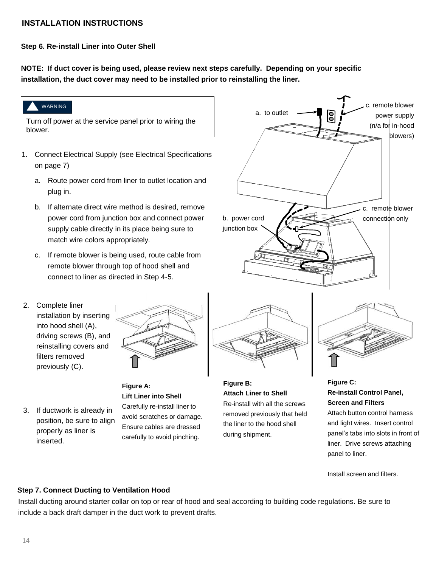**Step 6. Re-install Liner into Outer Shell**

**NOTE: If duct cover is being used, please review next steps carefully. Depending on your specific installation, the duct cover may need to be installed prior to reinstalling the liner.**



- plug in.
- b. If alternate direct wire method is desired, remove power cord from junction box and connect power supply cable directly in its place being sure to match wire colors appropriately.
- c. If remote blower is being used, route cable from remote blower through top of hood shell and connect to liner as directed in Step 4-5.
- 2. Complete liner installation by inserting into hood shell (A), driving screws (B), and reinstalling covers and filters removed previously (C).



3. If ductwork is already in position, be sure to align properly as liner is inserted.

# **Figure A: Lift Liner into Shell** Carefully re-install liner to avoid scratches or damage. Ensure cables are dressed carefully to avoid pinching.



**Figure B: Attach Liner to Shell** Re-install with all the screws removed previously that held the liner to the hood shell during shipment.

# **Figure C: Re-install Control Panel, Screen and Filters**

Attach button control harness and light wires. Insert control panel's tabs into slots in front of liner. Drive screws attaching panel to liner.

Install screen and filters.

# **Step 7. Connect Ducting to Ventilation Hood**

Install ducting around starter collar on top or rear of hood and seal according to building code regulations. Be sure to include a back draft damper in the duct work to prevent drafts.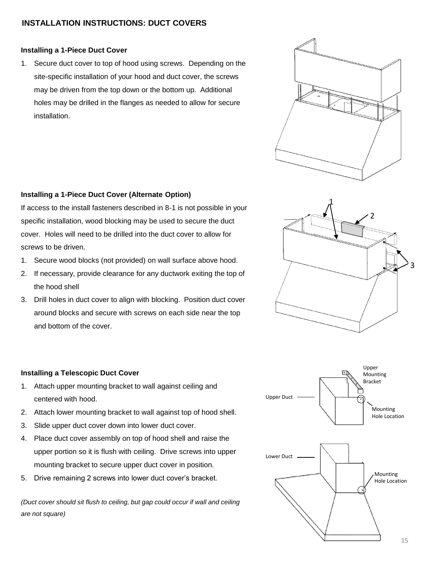# **INSTALLATION INSTRUCTIONS: DUCT COVERS**

# **Installing a 1-Piece Duct Cover**

1. Secure duct cover to top of hood using screws. Depending on the site-specific installation of your hood and duct cover, the screws may be driven from the top down or the bottom up. Additional holes may be drilled in the flanges as needed to allow for secure installation.



# **Installing a 1-Piece Duct Cover (Alternate Option)**

If access to the install fasteners described in 8-1 is not possible in your specific installation, wood blocking may be used to secure the duct cover. Holes will need to be drilled into the duct cover to allow for screws to be driven.

- 1. Secure wood blocks (not provided) on wall surface above hood.
- 2. If necessary, provide clearance for any ductwork exiting the top of the hood shell
- 3. Drill holes in duct cover to align with blocking. Position duct cover around blocks and secure with screws on each side near the top and bottom of the cover.



# **Installing a Telescopic Duct Cover**

- 1. Attach upper mounting bracket to wall against ceiling and centered with hood.
- 2. Attach lower mounting bracket to wall against top of hood shell.
- 3. Slide upper duct cover down into lower duct cover.
- 4. Place duct cover assembly on top of hood shell and raise the upper portion so it is flush with ceiling. Drive screws into upper mounting bracket to secure upper duct cover in position.
- 5. Drive remaining 2 screws into lower duct cover's bracket.

*(Duct cover should sit flush to ceiling, but gap could occur if wall and ceiling are not square)*

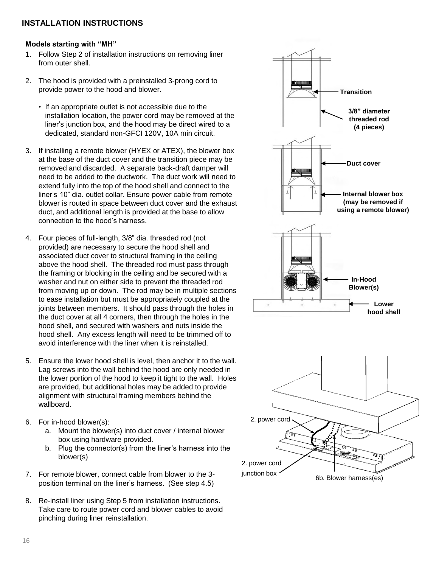#### **Models starting with "MH"**

- 1. Follow Step 2 of installation instructions on removing liner from outer shell.
- 2. The hood is provided with a preinstalled 3-prong cord to provide power to the hood and blower.
	- If an appropriate outlet is not accessible due to the installation location, the power cord may be removed at the liner's junction box, and the hood may be direct wired to a dedicated, standard non-GFCI 120V, 10A min circuit.
- 3. If installing a remote blower (HYEX or ATEX), the blower box at the base of the duct cover and the transition piece may be removed and discarded. A separate back-draft damper will need to be added to the ductwork. The duct work will need to extend fully into the top of the hood shell and connect to the liner's 10" dia. outlet collar. Ensure power cable from remote blower is routed in space between duct cover and the exhaust duct, and additional length is provided at the base to allow connection to the hood's harness.
- 4. Four pieces of full-length, 3/8" dia. threaded rod (not provided) are necessary to secure the hood shell and associated duct cover to structural framing in the ceiling above the hood shell. The threaded rod must pass through the framing or blocking in the ceiling and be secured with a washer and nut on either side to prevent the threaded rod from moving up or down. The rod may be in multiple sections to ease installation but must be appropriately coupled at the joints between members. It should pass through the holes in the duct cover at all 4 corners, then through the holes in the hood shell, and secured with washers and nuts inside the hood shell. Any excess length will need to be trimmed off to avoid interference with the liner when it is reinstalled.
- 5. Ensure the lower hood shell is level, then anchor it to the wall. Lag screws into the wall behind the hood are only needed in the lower portion of the hood to keep it tight to the wall. Holes are provided, but additional holes may be added to provide alignment with structural framing members behind the wallboard.
- 6. For in-hood blower(s):
	- a. Mount the blower(s) into duct cover / internal blower box using hardware provided.
	- b. Plug the connector(s) from the liner's harness into the blower(s)
- 7. For remote blower, connect cable from blower to the 3 position terminal on the liner's harness. (See step 4.5)
- 8. Re-install liner using Step 5 from installation instructions. Take care to route power cord and blower cables to avoid pinching during liner reinstallation.

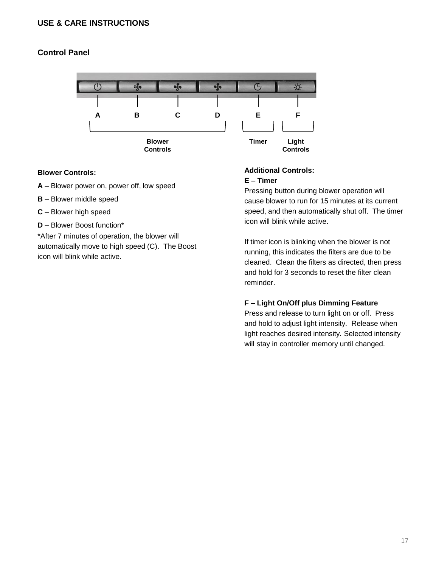# **USE & CARE INSTRUCTIONS**

# **Control Panel**



# **Blower Controls:**

- **A** Blower power on, power off, low speed
- **B**  Blower middle speed
- **C** Blower high speed
- **D**  Blower Boost function\*

\*After 7 minutes of operation, the blower will automatically move to high speed (C). The Boost icon will blink while active.

# **Additional Controls: E – Timer**

Pressing button during blower operation will cause blower to run for 15 minutes at its current speed, and then automatically shut off. The timer icon will blink while active.

If timer icon is blinking when the blower is not running, this indicates the filters are due to be cleaned. Clean the filters as directed, then press and hold for 3 seconds to reset the filter clean reminder.

# **F – Light On/Off plus Dimming Feature**

Press and release to turn light on or off. Press and hold to adjust light intensity. Release when light reaches desired intensity. Selected intensity will stay in controller memory until changed.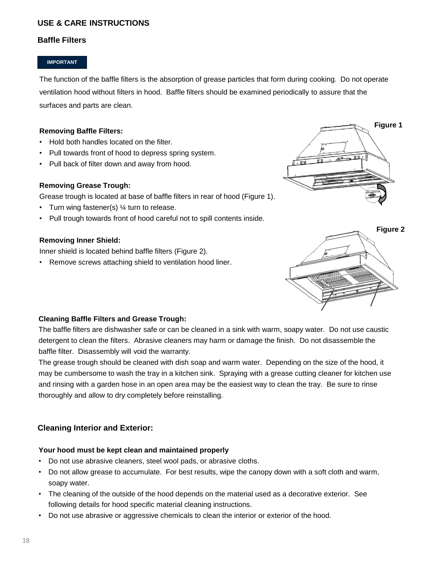# **USE & CARE INSTRUCTIONS**

# **Baffle Filters**

#### **IMPORTANT**

The function of the baffle filters is the absorption of grease particles that form during cooking. Do not operate ventilation hood without filters in hood. Baffle filters should be examined periodically to assure that the surfaces and parts are clean.

# **Removing Baffle Filters:**

- Hold both handles located on the filter.
- Pull towards front of hood to depress spring system.
- Pull back of filter down and away from hood.

# **Removing Grease Trough:**

Grease trough is located at base of baffle filters in rear of hood (Figure 1).

- Turn wing fastener(s) 1/4 turn to release.
- Pull trough towards front of hood careful not to spill contents inside.

# **Removing Inner Shield:**

Inner shield is located behind baffle filters (Figure 2).

• Remove screws attaching shield to ventilation hood liner.





# **Cleaning Baffle Filters and Grease Trough:**

The baffle filters are dishwasher safe or can be cleaned in a sink with warm, soapy water. Do not use caustic detergent to clean the filters. Abrasive cleaners may harm or damage the finish. Do not disassemble the baffle filter. Disassembly will void the warranty.

The grease trough should be cleaned with dish soap and warm water. Depending on the size of the hood, it may be cumbersome to wash the tray in a kitchen sink. Spraying with a grease cutting cleaner for kitchen use and rinsing with a garden hose in an open area may be the easiest way to clean the tray. Be sure to rinse thoroughly and allow to dry completely before reinstalling.

# **Cleaning Interior and Exterior:**

# **Your hood must be kept clean and maintained properly**

- Do not use abrasive cleaners, steel wool pads, or abrasive cloths.
- Do not allow grease to accumulate. For best results, wipe the canopy down with a soft cloth and warm, soapy water.
- The cleaning of the outside of the hood depends on the material used as a decorative exterior. See following details for hood specific material cleaning instructions.
- Do not use abrasive or aggressive chemicals to clean the interior or exterior of the hood.